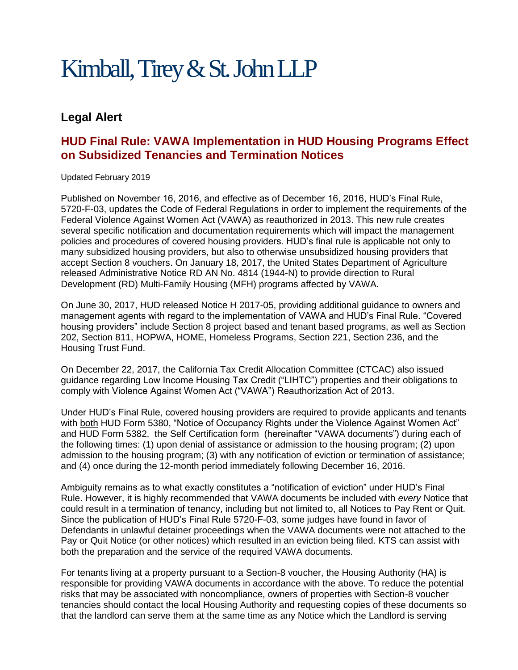## Kimball, Tirey & St. John LLP

## **Legal Alert**

## **HUD Final Rule: VAWA Implementation in HUD Housing Programs Effect on Subsidized Tenancies and Termination Notices**

Updated February 2019

Published on November 16, 2016, and effective as of December 16, 2016, HUD's Final Rule, 5720-F-03, updates the Code of Federal Regulations in order to implement the requirements of the Federal Violence Against Women Act (VAWA) as reauthorized in 2013. This new rule creates several specific notification and documentation requirements which will impact the management policies and procedures of covered housing providers. HUD's final rule is applicable not only to many subsidized housing providers, but also to otherwise unsubsidized housing providers that accept Section 8 vouchers. On January 18, 2017, the United States Department of Agriculture released Administrative Notice RD AN No. 4814 (1944-N) to provide direction to Rural Development (RD) Multi-Family Housing (MFH) programs affected by VAWA.

On June 30, 2017, HUD released Notice H 2017-05, providing additional guidance to owners and management agents with regard to the implementation of VAWA and HUD's Final Rule. "Covered housing providers" include Section 8 project based and tenant based programs, as well as Section 202, Section 811, HOPWA, HOME, Homeless Programs, Section 221, Section 236, and the Housing Trust Fund.

On December 22, 2017, the California Tax Credit Allocation Committee (CTCAC) also issued guidance regarding Low Income Housing Tax Credit ("LIHTC") properties and their obligations to comply with Violence Against Women Act ("VAWA") Reauthorization Act of 2013.

Under HUD's Final Rule, covered housing providers are required to provide applicants and tenants with both HUD Form 5380, "Notice of Occupancy Rights under the Violence Against Women Act" and HUD Form 5382, the Self Certification form (hereinafter "VAWA documents") during each of the following times: (1) upon denial of assistance or admission to the housing program; (2) upon admission to the housing program; (3) with any notification of eviction or termination of assistance; and (4) once during the 12-month period immediately following December 16, 2016.

Ambiguity remains as to what exactly constitutes a "notification of eviction" under HUD's Final Rule. However, it is highly recommended that VAWA documents be included with *every* Notice that could result in a termination of tenancy, including but not limited to, all Notices to Pay Rent or Quit. Since the publication of HUD's Final Rule 5720-F-03, some judges have found in favor of Defendants in unlawful detainer proceedings when the VAWA documents were not attached to the Pay or Quit Notice (or other notices) which resulted in an eviction being filed. KTS can assist with both the preparation and the service of the required VAWA documents.

For tenants living at a property pursuant to a Section-8 voucher, the Housing Authority (HA) is responsible for providing VAWA documents in accordance with the above. To reduce the potential risks that may be associated with noncompliance, owners of properties with Section-8 voucher tenancies should contact the local Housing Authority and requesting copies of these documents so that the landlord can serve them at the same time as any Notice which the Landlord is serving